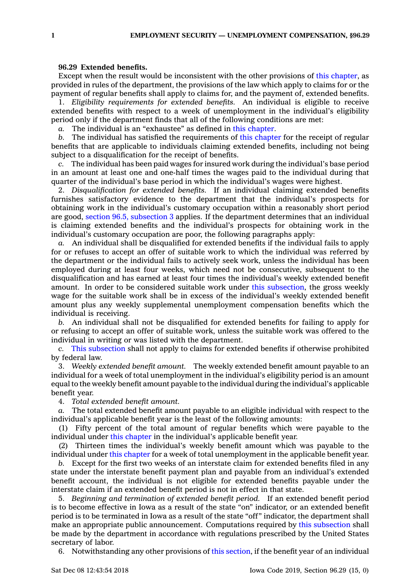## **96.29 Extended benefits.**

Except when the result would be inconsistent with the other provisions of this [chapter](https://www.legis.iowa.gov/docs/code//96.pdf), as provided in rules of the department, the provisions of the law which apply to claims for or the payment of regular benefits shall apply to claims for, and the payment of, extended benefits.

1. *Eligibility requirements for extended benefits.* An individual is eligible to receive extended benefits with respect to <sup>a</sup> week of unemployment in the individual's eligibility period only if the department finds that all of the following conditions are met:

*a.* The individual is an "exhaustee" as defined in this [chapter](https://www.legis.iowa.gov/docs/code//96.pdf).

*b.* The individual has satisfied the requirements of this [chapter](https://www.legis.iowa.gov/docs/code//96.pdf) for the receipt of regular benefits that are applicable to individuals claiming extended benefits, including not being subject to <sup>a</sup> disqualification for the receipt of benefits.

*c.* The individual has been paid wages for insured work during the individual's base period in an amount at least one and one-half times the wages paid to the individual during that quarter of the individual's base period in which the individual's wages were highest.

2. *Disqualification for extended benefits.* If an individual claiming extended benefits furnishes satisfactory evidence to the department that the individual's prospects for obtaining work in the individual's customary occupation within <sup>a</sup> reasonably short period are good, section 96.5, [subsection](https://www.legis.iowa.gov/docs/code/96.5.pdf) 3 applies. If the department determines that an individual is claiming extended benefits and the individual's prospects for obtaining work in the individual's customary occupation are poor, the following paragraphs apply:

*a.* An individual shall be disqualified for extended benefits if the individual fails to apply for or refuses to accept an offer of suitable work to which the individual was referred by the department or the individual fails to actively seek work, unless the individual has been employed during at least four weeks, which need not be consecutive, subsequent to the disqualification and has earned at least four times the individual's weekly extended benefit amount. In order to be considered suitable work under this [subsection](https://www.legis.iowa.gov/docs/code/96.29.pdf), the gross weekly wage for the suitable work shall be in excess of the individual's weekly extended benefit amount plus any weekly supplemental unemployment compensation benefits which the individual is receiving.

*b.* An individual shall not be disqualified for extended benefits for failing to apply for or refusing to accept an offer of suitable work, unless the suitable work was offered to the individual in writing or was listed with the department.

*c.* This [subsection](https://www.legis.iowa.gov/docs/code/96.29.pdf) shall not apply to claims for extended benefits if otherwise prohibited by federal law.

3. *Weekly extended benefit amount.* The weekly extended benefit amount payable to an individual for <sup>a</sup> week of total unemployment in the individual's eligibility period is an amount equal to the weekly benefit amount payable to the individual during the individual's applicable benefit year.

4. *Total extended benefit amount.*

*a.* The total extended benefit amount payable to an eligible individual with respect to the individual's applicable benefit year is the least of the following amounts:

(1) Fifty percent of the total amount of regular benefits which were payable to the individual under this [chapter](https://www.legis.iowa.gov/docs/code//96.pdf) in the individual's applicable benefit year.

(2) Thirteen times the individual's weekly benefit amount which was payable to the individual under this [chapter](https://www.legis.iowa.gov/docs/code//96.pdf) for <sup>a</sup> week of total unemployment in the applicable benefit year.

*b.* Except for the first two weeks of an interstate claim for extended benefits filed in any state under the interstate benefit payment plan and payable from an individual's extended benefit account, the individual is not eligible for extended benefits payable under the interstate claim if an extended benefit period is not in effect in that state.

5. *Beginning and termination of extended benefit period.* If an extended benefit period is to become effective in Iowa as <sup>a</sup> result of the state "on" indicator, or an extended benefit period is to be terminated in Iowa as <sup>a</sup> result of the state "off" indicator, the department shall make an appropriate public announcement. Computations required by this [subsection](https://www.legis.iowa.gov/docs/code/96.29.pdf) shall be made by the department in accordance with regulations prescribed by the United States secretary of labor.

6. Notwithstanding any other provisions of this [section](https://www.legis.iowa.gov/docs/code/96.29.pdf), if the benefit year of an individual